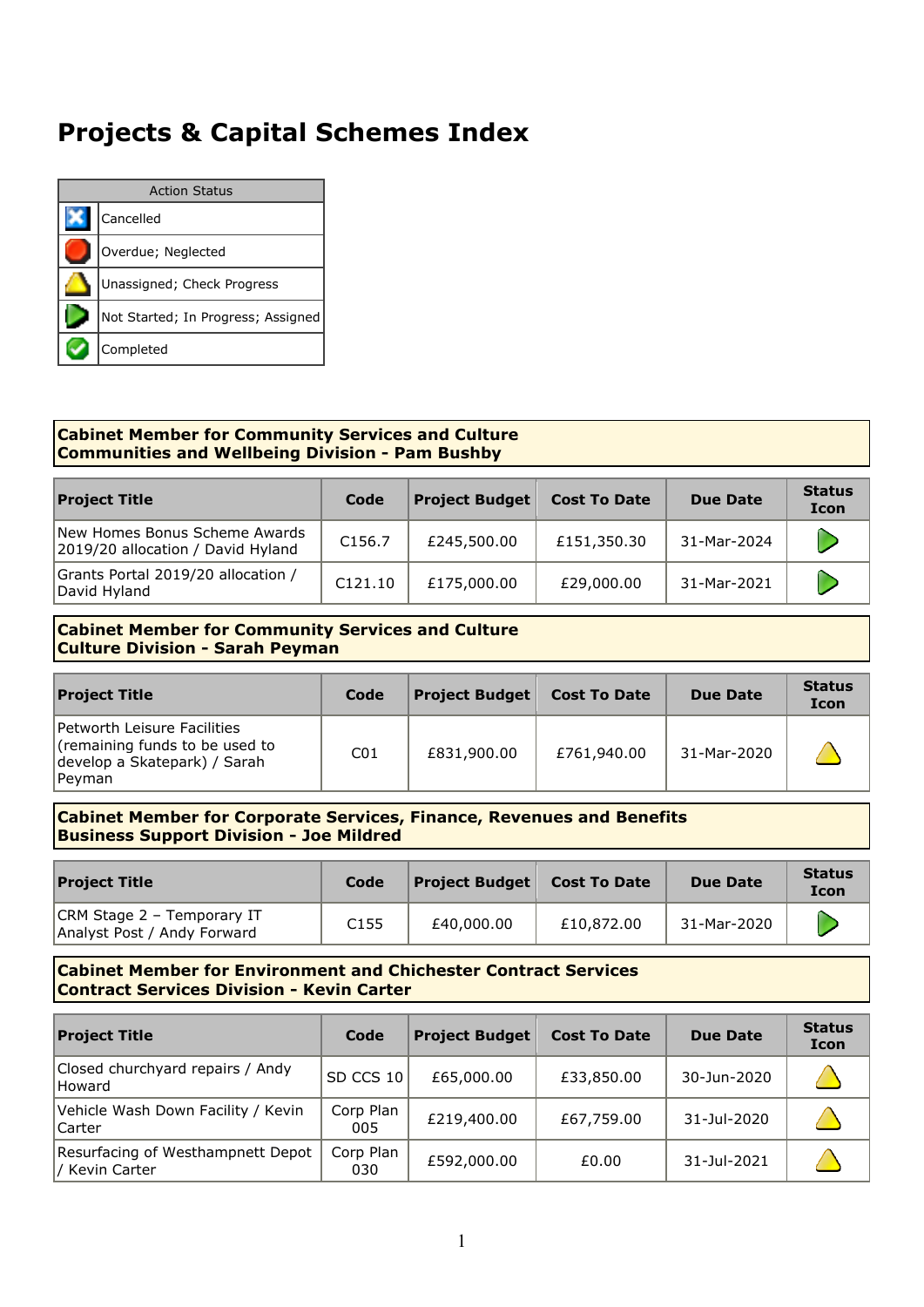# **Projects & Capital Schemes Index**

|           | <b>Action Status</b>               |  |  |  |  |  |  |  |
|-----------|------------------------------------|--|--|--|--|--|--|--|
| Cancelled |                                    |  |  |  |  |  |  |  |
|           | Overdue; Neglected                 |  |  |  |  |  |  |  |
|           | Unassigned; Check Progress         |  |  |  |  |  |  |  |
|           | Not Started; In Progress; Assigned |  |  |  |  |  |  |  |
|           | Completed                          |  |  |  |  |  |  |  |

## **Cabinet Member for Community Services and Culture Communities and Wellbeing Division - Pam Bushby**

| <b>Project Title</b>                                               | Code               | <b>Project Budget</b> | <b>Cost To Date</b> | Due Date    | <b>Status</b><br><b>Icon</b> |
|--------------------------------------------------------------------|--------------------|-----------------------|---------------------|-------------|------------------------------|
| New Homes Bonus Scheme Awards<br>2019/20 allocation / David Hyland | C <sub>156.7</sub> | £245,500.00           | £151,350.30         | 31-Mar-2024 |                              |
| Grants Portal 2019/20 allocation /<br>David Hyland                 | C121.10            | £175,000.00           | £29,000.00          | 31-Mar-2021 |                              |

#### **Cabinet Member for Community Services and Culture Culture Division - Sarah Peyman**

| <b>Project Title</b>                                                                                    | Code            | <b>Project Budget</b> $ $ | <b>Cost To Date</b> | <b>Due Date</b> | <b>Status</b><br><b>Icon</b> |
|---------------------------------------------------------------------------------------------------------|-----------------|---------------------------|---------------------|-----------------|------------------------------|
| Petworth Leisure Facilities<br>(remaining funds to be used to<br>develop a Skatepark) / Sarah<br>Peyman | CO <sub>1</sub> | £831,900.00               | £761,940.00         | 31-Mar-2020     |                              |

#### **Cabinet Member for Corporate Services, Finance, Revenues and Benefits Business Support Division - Joe Mildred**

| <b>Project Title</b>                                      | Code             | $\vert$ Project Budget $\vert$ | Cost To Date | Due Date    | <b>Status</b><br><b>Icon</b> |
|-----------------------------------------------------------|------------------|--------------------------------|--------------|-------------|------------------------------|
| CRM Stage 2 - Temporary IT<br>Analyst Post / Andy Forward | C <sub>155</sub> | £40,000.00                     | £10,872,00   | 31-Mar-2020 |                              |

## **Cabinet Member for Environment and Chichester Contract Services Contract Services Division - Kevin Carter**

| <b>Project Title</b>                                | Code             | <b>Project Budget</b> | <b>Cost To Date</b> | <b>Due Date</b> | <b>Status</b><br><b>Icon</b> |
|-----------------------------------------------------|------------------|-----------------------|---------------------|-----------------|------------------------------|
| Closed churchyard repairs / Andy<br><b>Howard</b>   | SD CCS 10        | £65,000.00            | £33,850.00          | 30-Jun-2020     |                              |
| Vehicle Wash Down Facility / Kevin<br> Carter       | Corp Plan<br>005 | £219,400.00           | £67,759.00          | 31-Jul-2020     |                              |
| Resurfacing of Westhampnett Depot<br>/ Kevin Carter | Corp Plan<br>030 | £592,000.00           | £0.00               | 31-Jul-2021     |                              |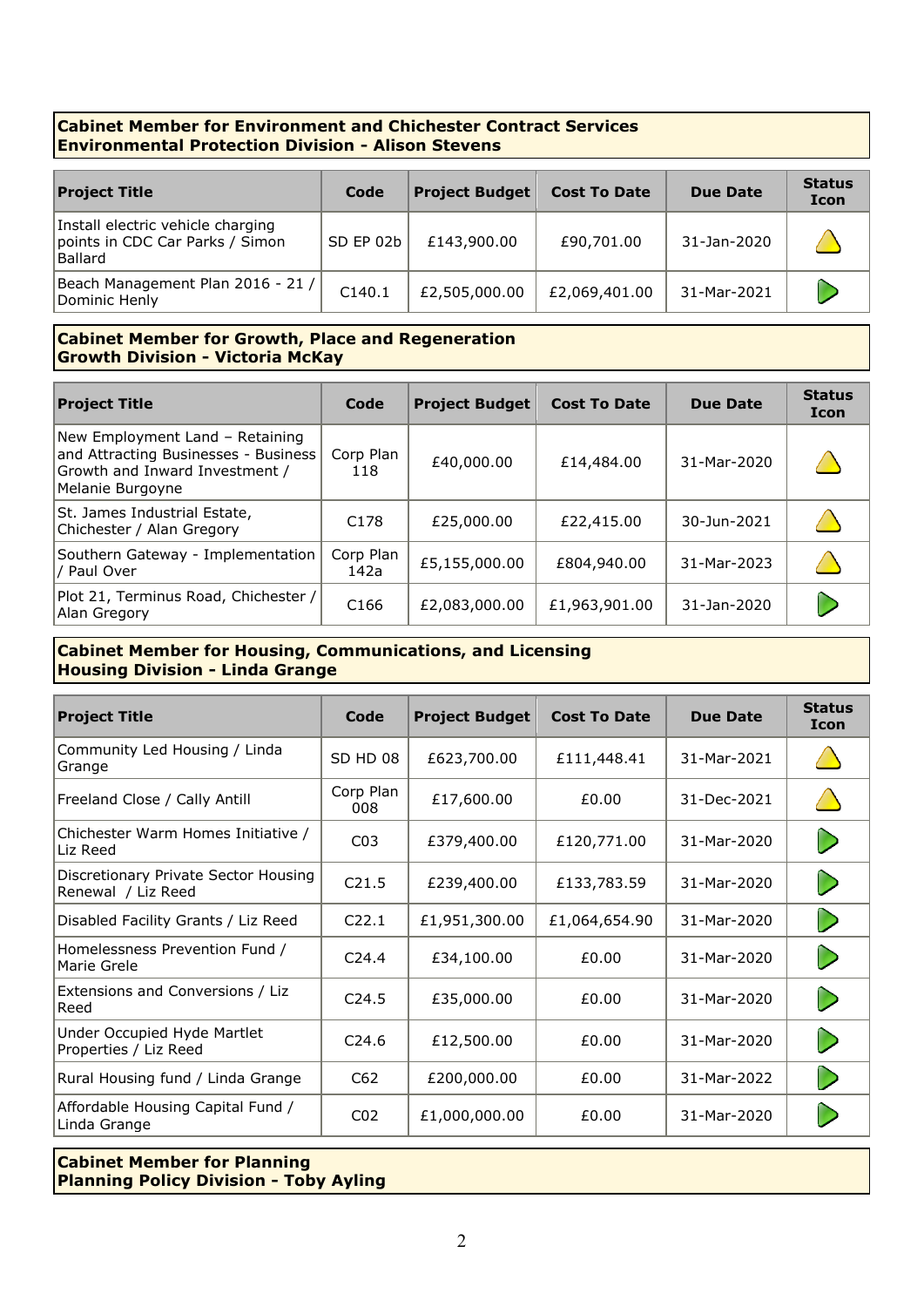## **Cabinet Member for Environment and Chichester Contract Services Environmental Protection Division - Alison Stevens**

| <b>Project Title</b>                                                                   | Code      | <b>Project Budget</b> | <b>Cost To Date</b> | <b>Due Date</b> | <b>Status</b><br><b>Icon</b> |
|----------------------------------------------------------------------------------------|-----------|-----------------------|---------------------|-----------------|------------------------------|
| Install electric vehicle charging<br>points in CDC Car Parks / Simon<br><b>Ballard</b> | SD EP 02b | £143,900.00           | £90,701.00          | 31-Jan-2020     |                              |
| Beach Management Plan 2016 - 21 /<br>Dominic Henly                                     | C140.1    | £2,505,000.00         | £2,069,401.00       | 31-Mar-2021     |                              |

## **Cabinet Member for Growth, Place and Regeneration Growth Division - Victoria McKay**

| <b>Project Title</b>                                                                                                          | Code              | <b>Project Budget</b> | <b>Cost To Date</b> | <b>Due Date</b> | <b>Status</b><br><b>Icon</b> |
|-------------------------------------------------------------------------------------------------------------------------------|-------------------|-----------------------|---------------------|-----------------|------------------------------|
| New Employment Land - Retaining<br>and Attracting Businesses - Business<br>Growth and Inward Investment /<br>Melanie Burgoyne | Corp Plan<br>118  | £40,000.00            | £14,484.00          | 31-Mar-2020     |                              |
| St. James Industrial Estate,<br>Chichester / Alan Gregory                                                                     | C <sub>178</sub>  | £25,000.00            | £22,415.00          | 30-Jun-2021     |                              |
| Southern Gateway - Implementation<br>/ Paul Over                                                                              | Corp Plan<br>142a | £5,155,000.00         | £804,940.00         | 31-Mar-2023     |                              |
| Plot 21, Terminus Road, Chichester /<br>Alan Gregory                                                                          | C <sub>166</sub>  | £2,083,000.00         | £1,963,901.00       | 31-Jan-2020     |                              |

## **Cabinet Member for Housing, Communications, and Licensing Housing Division - Linda Grange**

| <b>Project Title</b>                                       | Code              | <b>Project Budget</b> | <b>Cost To Date</b> |             | <b>Status</b><br><b>Icon</b> |
|------------------------------------------------------------|-------------------|-----------------------|---------------------|-------------|------------------------------|
| Community Led Housing / Linda<br>Grange                    | SD HD 08          | £623,700.00           | £111,448.41         | 31-Mar-2021 |                              |
| Freeland Close / Cally Antill                              | Corp Plan<br>008  | £17,600.00            | £0.00               | 31-Dec-2021 |                              |
| Chichester Warm Homes Initiative /<br>Liz Reed             | CO <sub>3</sub>   | £379,400.00           | £120,771.00         | 31-Mar-2020 | D                            |
| Discretionary Private Sector Housing<br>Renewal / Liz Reed | C21.5             | £239,400.00           | £133,783.59         | 31-Mar-2020 | D                            |
| Disabled Facility Grants / Liz Reed                        | C <sub>22.1</sub> | £1,951,300.00         | £1,064,654.90       | 31-Mar-2020 | D                            |
| Homelessness Prevention Fund /<br>Marie Grele              | C <sub>24.4</sub> | £34,100.00            | £0.00               | 31-Mar-2020 | D                            |
| Extensions and Conversions / Liz<br>Reed                   | C <sub>24.5</sub> | £35,000.00            | £0.00               | 31-Mar-2020 | D                            |
| Under Occupied Hyde Martlet<br>Properties / Liz Reed       | C <sub>24.6</sub> | £12,500.00            | £0.00               | 31-Mar-2020 | D                            |
| Rural Housing fund / Linda Grange                          | C62               | £200,000.00           | £0.00               | 31-Mar-2022 | D                            |
| Affordable Housing Capital Fund /<br>Linda Grange          | CO <sub>2</sub>   | £1,000,000.00         | £0.00               | 31-Mar-2020 |                              |

## **Cabinet Member for Planning Planning Policy Division - Toby Ayling**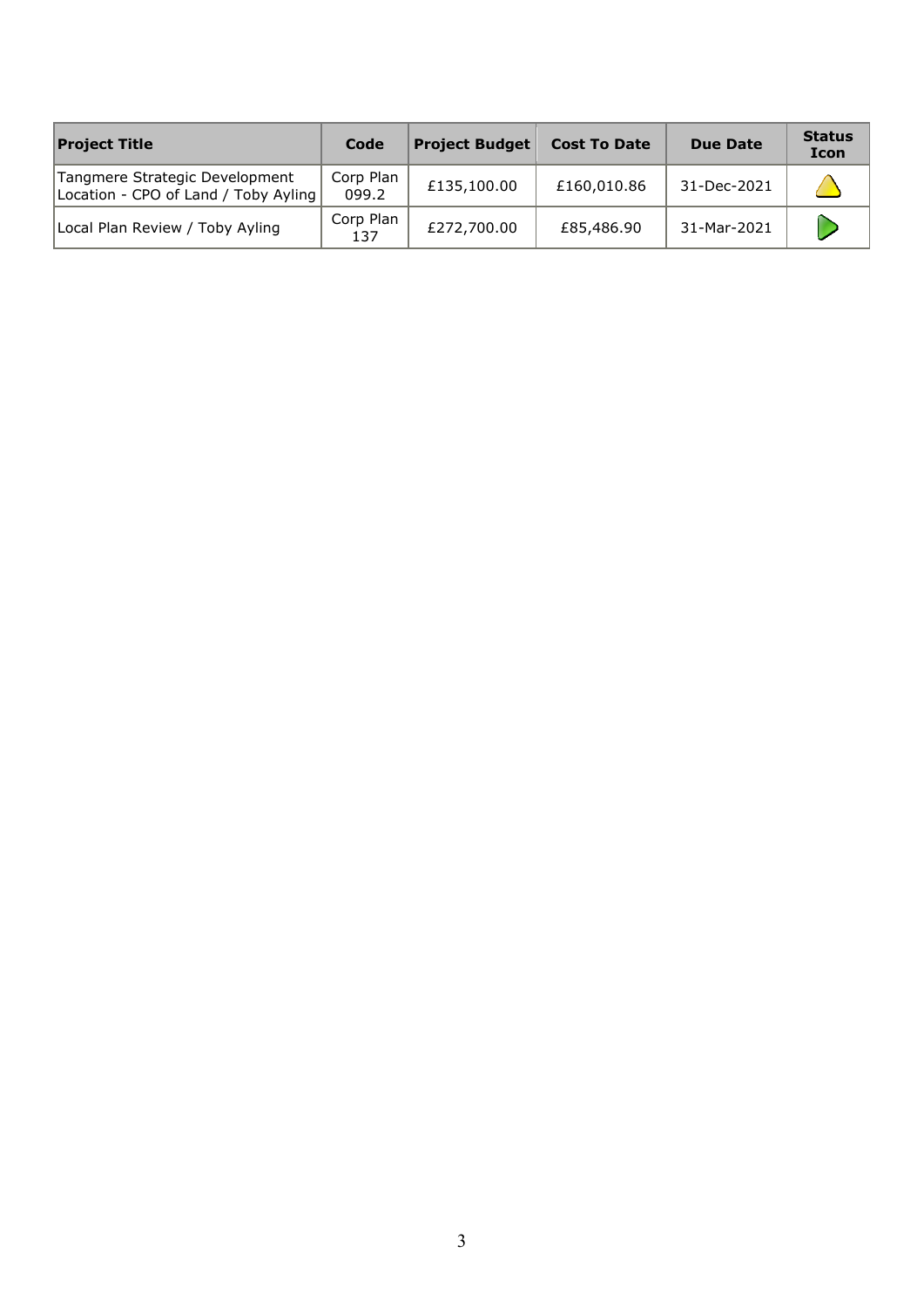| <b>Project Title</b>                                                   | Code               | <b>Project Budget</b> | <b>Cost To Date</b> | <b>Due Date</b> | <b>Status</b><br><b>Icon</b> |
|------------------------------------------------------------------------|--------------------|-----------------------|---------------------|-----------------|------------------------------|
| Tangmere Strategic Development<br>Location - CPO of Land / Toby Ayling | Corp Plan<br>099.2 | £135,100.00           | £160,010.86         | 31-Dec-2021     |                              |
| Local Plan Review / Toby Ayling                                        | Corp Plan<br>137   | £272,700.00           | £85,486.90          | 31-Mar-2021     |                              |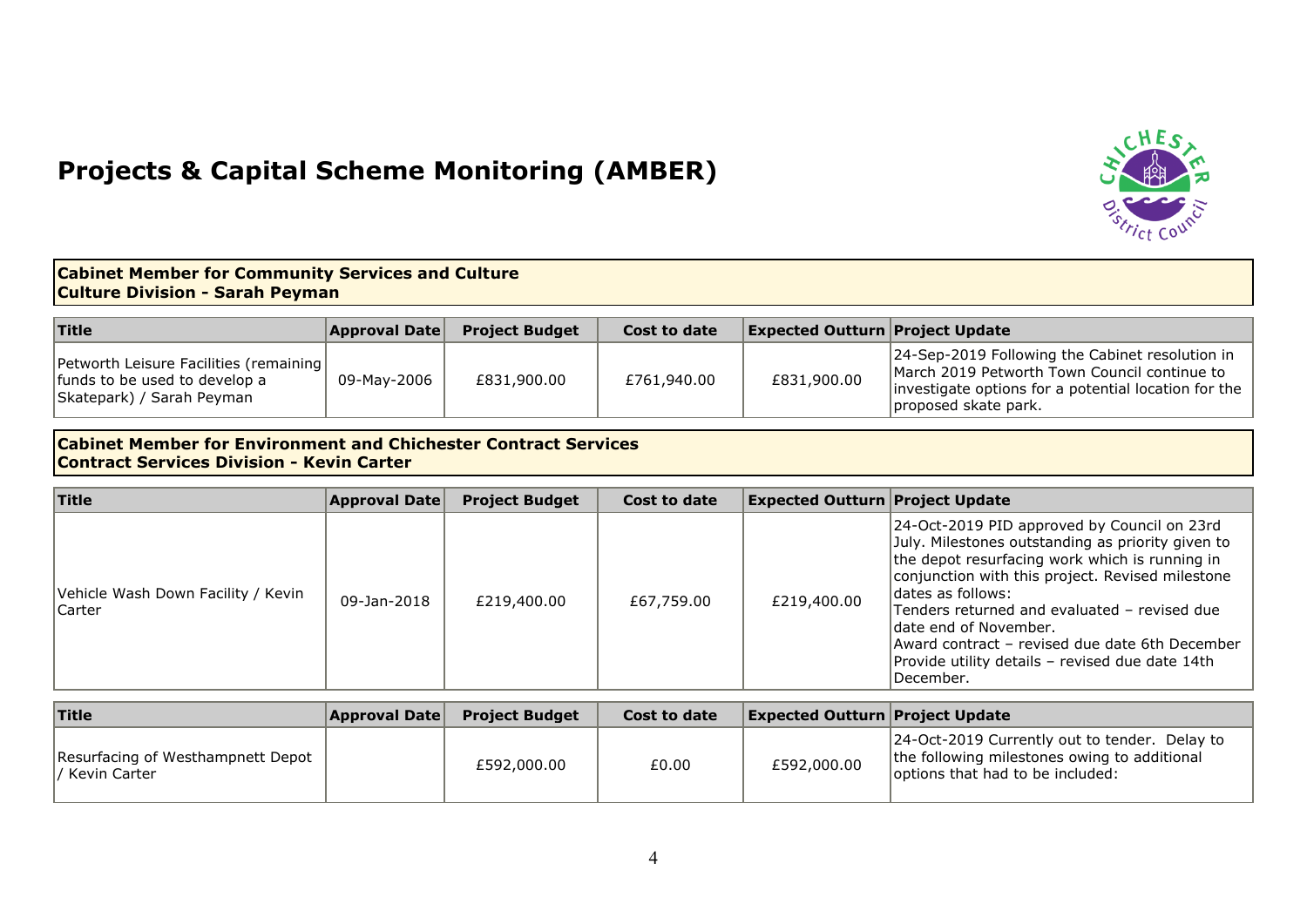## **Projects & Capital Scheme Monitoring (AMBER)**



## **Cabinet Member for Community Services and Culture Culture Division - Sarah Peyman**

| <b>Title</b>                                                                                          | <b>Approval Date</b> | <b>Project Budget</b> | Cost to date | <b>Expected Outturn Project Update</b> |                                                                                                                                                                                 |
|-------------------------------------------------------------------------------------------------------|----------------------|-----------------------|--------------|----------------------------------------|---------------------------------------------------------------------------------------------------------------------------------------------------------------------------------|
| Petworth Leisure Facilities (remaining)<br>funds to be used to develop a<br>Skatepark) / Sarah Peyman | 09-Mav-2006          | £831,900,00           | £761,940.00  | £831,900.00                            | 24-Sep-2019 Following the Cabinet resolution in<br>March 2019 Petworth Town Council continue to<br>investigate options for a potential location for the<br>proposed skate park. |

#### **Cabinet Member for Environment and Chichester Contract Services Contract Services Division - Kevin Carter**

| Title                                               | <b>Approval Date</b> | <b>Project Budget</b> | Cost to date | <b>Expected Outturn Project Update</b> |                                                                                                                                                                                                                                                                                                                                                                                                                          |
|-----------------------------------------------------|----------------------|-----------------------|--------------|----------------------------------------|--------------------------------------------------------------------------------------------------------------------------------------------------------------------------------------------------------------------------------------------------------------------------------------------------------------------------------------------------------------------------------------------------------------------------|
| Vehicle Wash Down Facility / Kevin<br><b>Carter</b> | 09-Jan-2018          | £219,400.00           | £67,759.00   | £219,400.00                            | 24-Oct-2019 PID approved by Council on 23rd<br>July. Milestones outstanding as priority given to<br>the depot resurfacing work which is running in<br>conjunction with this project. Revised milestone<br>Idates as follows:<br>Tenders returned and evaluated - revised due<br>ldate end of November.<br>Award contract - revised due date 6th December<br>Provide utility details - revised due date 14th<br>December. |

| <b>Title</b>                                        | <b>Approval Date</b> | <b>Project Budget</b> | Cost to date | <b>Expected Outturn Project Update</b> |                                                                                                                                   |
|-----------------------------------------------------|----------------------|-----------------------|--------------|----------------------------------------|-----------------------------------------------------------------------------------------------------------------------------------|
| Resurfacing of Westhampnett Depot<br>/ Kevin Carter |                      | £592,000.00           | £0.00        | £592,000.00                            | 24-Oct-2019 Currently out to tender. Delay to<br>the following milestones owing to additional<br>options that had to be included: |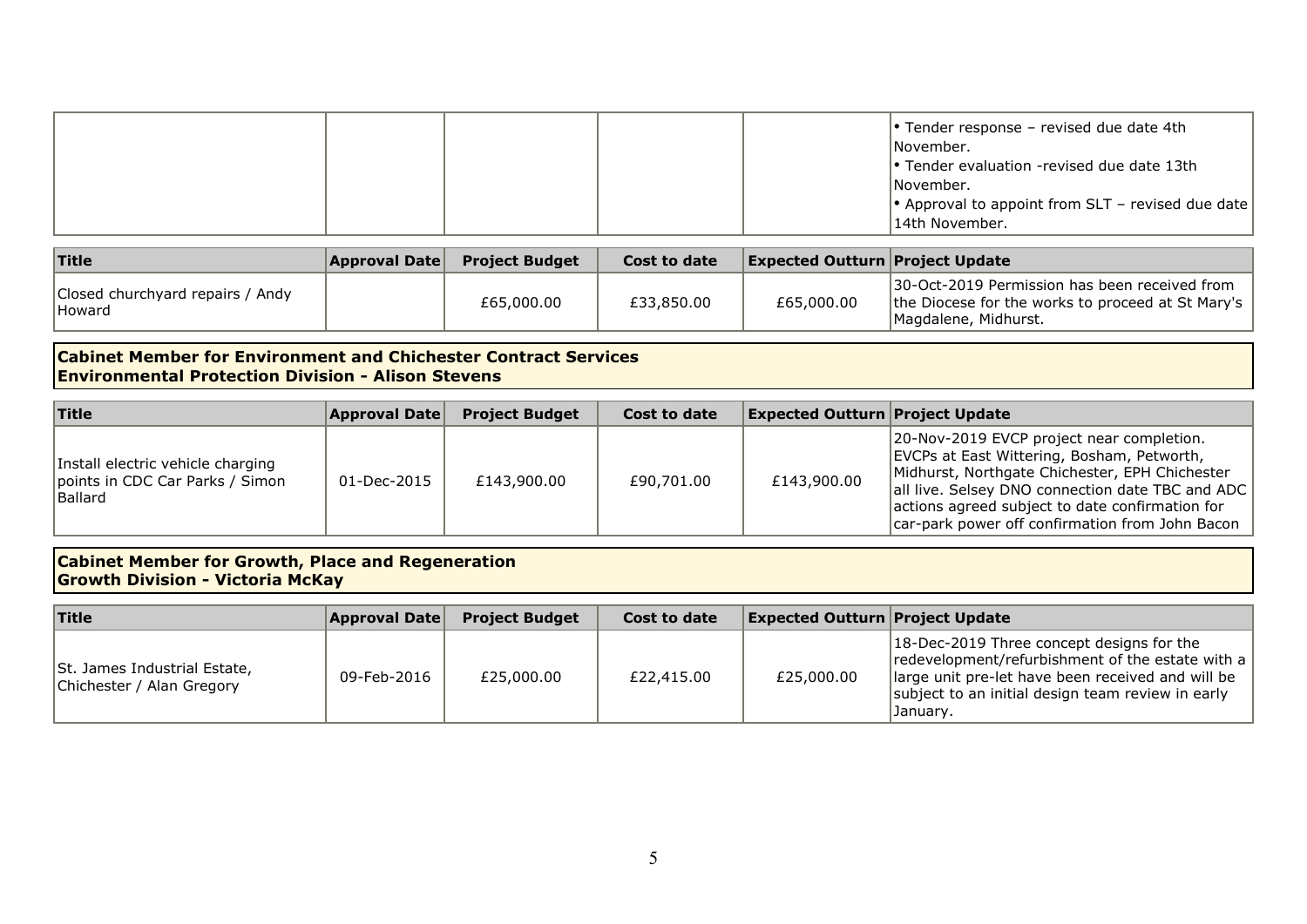| $\cdot$ Tender evaluation -revised due date 13th<br> November.<br>$\left  \cdot \right $ Approval to appoint from SLT - revised due date<br>14th November. |
|------------------------------------------------------------------------------------------------------------------------------------------------------------|
|------------------------------------------------------------------------------------------------------------------------------------------------------------|

| Title                                      | <b>Approval Date</b> | <b>Project Budget</b> | Cost to date | <b>Expected Outturn Project Update</b> |                                                                                                                             |
|--------------------------------------------|----------------------|-----------------------|--------------|----------------------------------------|-----------------------------------------------------------------------------------------------------------------------------|
| Closed churchyard repairs / Andy<br>Howard |                      | £65,000.00            | £33,850.00   | £65,000.00                             | 130-Oct-2019 Permission has been received from<br>the Diocese for the works to proceed at St Mary's<br>Magdalene, Midhurst. |

#### **Cabinet Member for Environment and Chichester Contract Services Environmental Protection Division - Alison Stevens**

| Title                                                                                  | <b>Approval Date</b> | <b>Project Budget</b> | Cost to date | <b>Expected Outturn Project Update</b> |                                                                                                                                                                                                                                                                                                     |
|----------------------------------------------------------------------------------------|----------------------|-----------------------|--------------|----------------------------------------|-----------------------------------------------------------------------------------------------------------------------------------------------------------------------------------------------------------------------------------------------------------------------------------------------------|
| Install electric vehicle charging<br>points in CDC Car Parks / Simon<br><b>Ballard</b> | 01-Dec-2015          | £143,900.00           | £90,701.00   | £143,900.00                            | 20-Nov-2019 EVCP project near completion.<br>EVCPs at East Wittering, Bosham, Petworth,<br>Midhurst, Northgate Chichester, EPH Chichester<br>all live. Selsey DNO connection date TBC and ADC<br>actions agreed subject to date confirmation for<br>car-park power off confirmation from John Bacon |

## **Cabinet Member for Growth, Place and Regeneration Growth Division - Victoria McKay**

| $ $ Title                                                 | <b>Approval Date</b> | <b>Project Budget</b> | Cost to date | <b>Expected Outturn Project Update</b> |                                                                                                                                                                                                                     |
|-----------------------------------------------------------|----------------------|-----------------------|--------------|----------------------------------------|---------------------------------------------------------------------------------------------------------------------------------------------------------------------------------------------------------------------|
| St. James Industrial Estate,<br>Chichester / Alan Gregory | 09-Feb-2016          | £25,000.00            | £22,415.00   | £25,000.00                             | 18-Dec-2019 Three concept designs for the<br>redevelopment/refurbishment of the estate with a<br>large unit pre-let have been received and will be<br>subject to an initial design team review in early<br>January. |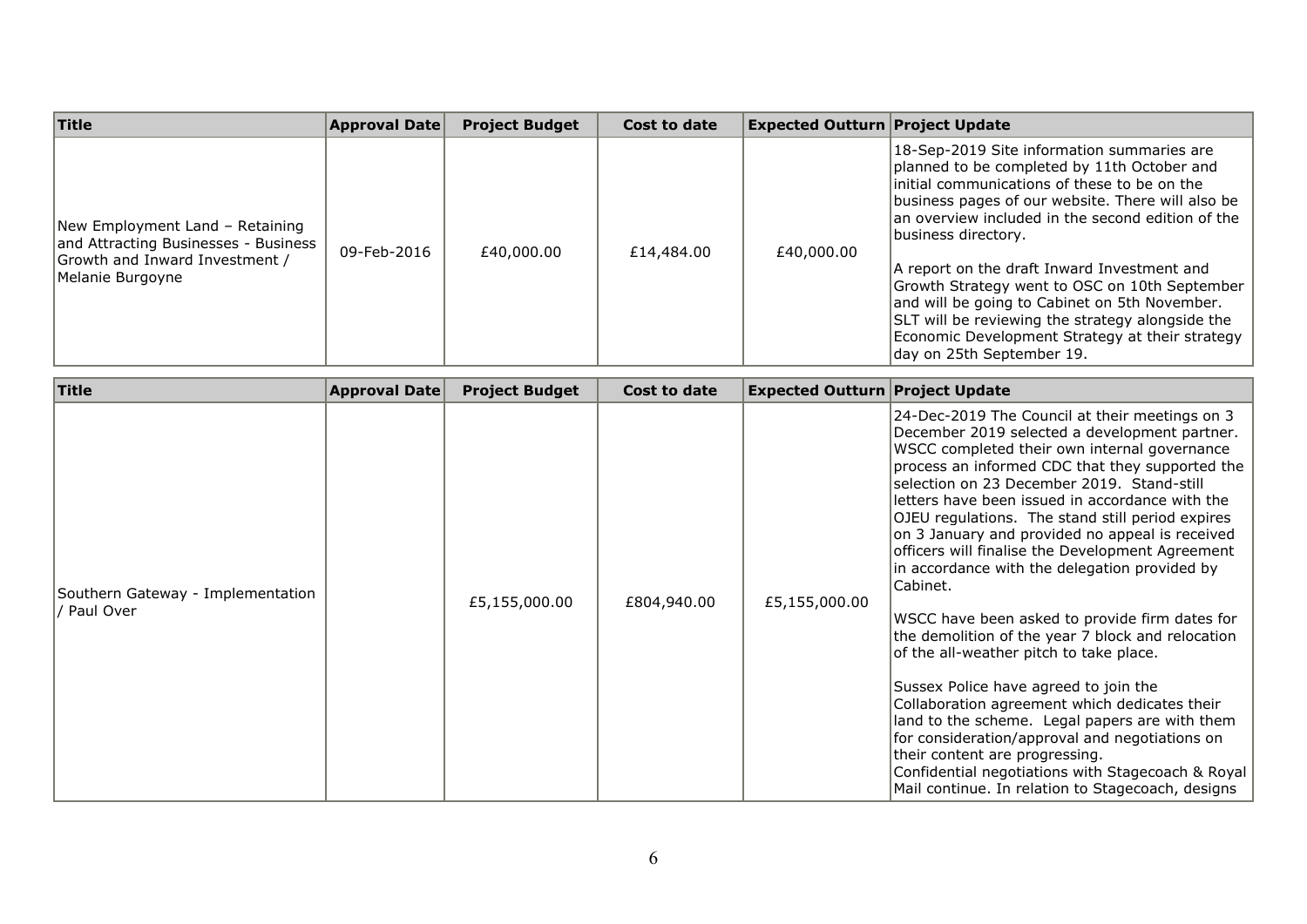| Title                                                                                                                         | <b>Approval Date</b> | <b>Project Budget</b> | Cost to date | <b>Expected Outturn Project Update</b> |                                                                                                                                                                                                                                                                                                                                                                                                                                                                                                                                                                   |
|-------------------------------------------------------------------------------------------------------------------------------|----------------------|-----------------------|--------------|----------------------------------------|-------------------------------------------------------------------------------------------------------------------------------------------------------------------------------------------------------------------------------------------------------------------------------------------------------------------------------------------------------------------------------------------------------------------------------------------------------------------------------------------------------------------------------------------------------------------|
| New Employment Land - Retaining<br>and Attracting Businesses - Business<br>Growth and Inward Investment /<br>Melanie Burgoyne | 09-Feb-2016          | £40,000,00            | £14,484.00   | £40,000.00                             | 18-Sep-2019 Site information summaries are<br>planned to be completed by 11th October and<br>linitial communications of these to be on the<br>business pages of our website. There will also be<br>an overview included in the second edition of the<br>Ibusiness directory.<br>A report on the draft Inward Investment and<br>Growth Strategy went to OSC on 10th September<br>and will be going to Cabinet on 5th November.<br>SLT will be reviewing the strategy alongside the<br>Economic Development Strategy at their strategy<br>day on 25th September 19. |

| Title                                            | <b>Approval Date</b> | <b>Project Budget</b> | Cost to date | <b>Expected Outturn Project Update</b> |                                                                                                                                                                                                                                                                                                                                                                                                                                                                                                                                                                                                                                                                                                                                                                                                                                                                                                                                                                                                                         |
|--------------------------------------------------|----------------------|-----------------------|--------------|----------------------------------------|-------------------------------------------------------------------------------------------------------------------------------------------------------------------------------------------------------------------------------------------------------------------------------------------------------------------------------------------------------------------------------------------------------------------------------------------------------------------------------------------------------------------------------------------------------------------------------------------------------------------------------------------------------------------------------------------------------------------------------------------------------------------------------------------------------------------------------------------------------------------------------------------------------------------------------------------------------------------------------------------------------------------------|
| Southern Gateway - Implementation<br>/ Paul Over |                      | £5,155,000.00         | £804,940.00  | £5,155,000.00                          | 24-Dec-2019 The Council at their meetings on 3<br>December 2019 selected a development partner.<br>WSCC completed their own internal governance<br>process an informed CDC that they supported the<br>selection on 23 December 2019. Stand-still<br>letters have been issued in accordance with the<br>OJEU regulations. The stand still period expires<br>on 3 January and provided no appeal is received<br>officers will finalise the Development Agreement<br>in accordance with the delegation provided by<br>Cabinet.<br>WSCC have been asked to provide firm dates for<br>the demolition of the year 7 block and relocation<br>of the all-weather pitch to take place.<br>Sussex Police have agreed to join the<br>Collaboration agreement which dedicates their<br>land to the scheme. Legal papers are with them<br>for consideration/approval and negotiations on<br>their content are progressing.<br>Confidential negotiations with Stagecoach & Royal<br>Mail continue. In relation to Stagecoach, designs |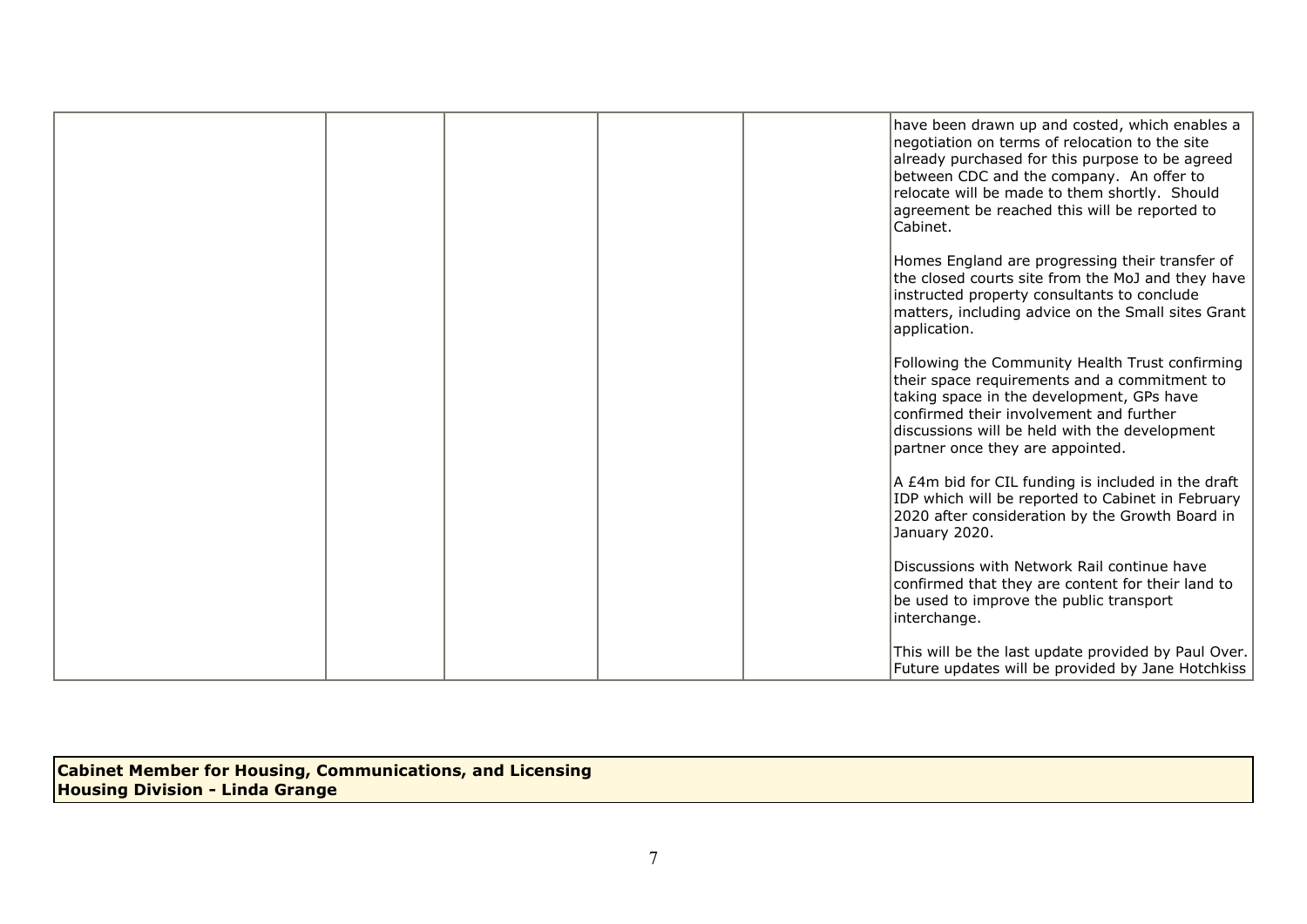|  |  | have been drawn up and costed, which enables a<br>negotiation on terms of relocation to the site<br>already purchased for this purpose to be agreed<br>between CDC and the company. An offer to<br>relocate will be made to them shortly. Should<br>agreement be reached this will be reported to<br>Cabinet. |
|--|--|---------------------------------------------------------------------------------------------------------------------------------------------------------------------------------------------------------------------------------------------------------------------------------------------------------------|
|  |  | Homes England are progressing their transfer of<br>the closed courts site from the MoJ and they have<br>instructed property consultants to conclude<br>matters, including advice on the Small sites Grant<br>application.                                                                                     |
|  |  | Following the Community Health Trust confirming<br>their space requirements and a commitment to<br>taking space in the development, GPs have<br>confirmed their involvement and further<br>discussions will be held with the development<br>partner once they are appointed.                                  |
|  |  | A £4m bid for CIL funding is included in the draft<br>IDP which will be reported to Cabinet in February<br>2020 after consideration by the Growth Board in<br>January 2020.                                                                                                                                   |
|  |  | Discussions with Network Rail continue have<br>confirmed that they are content for their land to<br>be used to improve the public transport<br>interchange.                                                                                                                                                   |
|  |  | This will be the last update provided by Paul Over.<br>Future updates will be provided by Jane Hotchkiss                                                                                                                                                                                                      |

**Cabinet Member for Housing, Communications, and Licensing Housing Division - Linda Grange**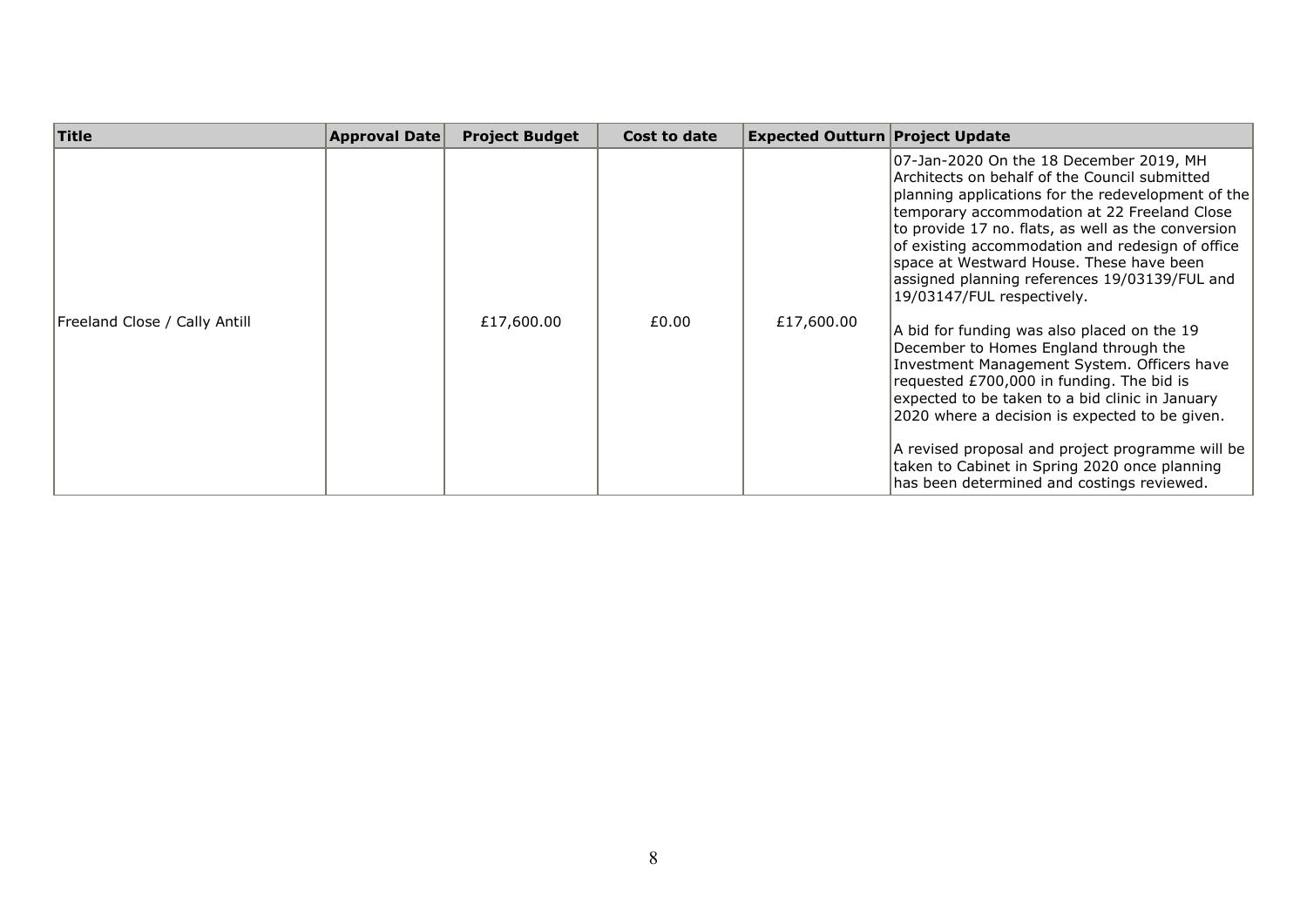| Title                         | <b>Approval Date</b> | <b>Project Budget</b> | Cost to date | <b>Expected Outturn Project Update</b> |                                                                                                                                                                                                                                                                                                                                                                                                                                                                                                                                                                                                                                                                                                                                                                                                                                                                                 |
|-------------------------------|----------------------|-----------------------|--------------|----------------------------------------|---------------------------------------------------------------------------------------------------------------------------------------------------------------------------------------------------------------------------------------------------------------------------------------------------------------------------------------------------------------------------------------------------------------------------------------------------------------------------------------------------------------------------------------------------------------------------------------------------------------------------------------------------------------------------------------------------------------------------------------------------------------------------------------------------------------------------------------------------------------------------------|
| Freeland Close / Cally Antill |                      | £17,600.00            | £0.00        | £17,600.00                             | 07-Jan-2020 On the 18 December 2019, MH<br>Architects on behalf of the Council submitted<br>planning applications for the redevelopment of the<br>temporary accommodation at 22 Freeland Close<br>to provide 17 no. flats, as well as the conversion<br>of existing accommodation and redesign of office<br>space at Westward House. These have been<br>assigned planning references 19/03139/FUL and<br>19/03147/FUL respectively.<br>A bid for funding was also placed on the 19<br>December to Homes England through the<br>Investment Management System. Officers have<br>requested £700,000 in funding. The bid is<br>expected to be taken to a bid clinic in January<br>2020 where a decision is expected to be given.<br>A revised proposal and project programme will be<br>taken to Cabinet in Spring 2020 once planning<br>has been determined and costings reviewed. |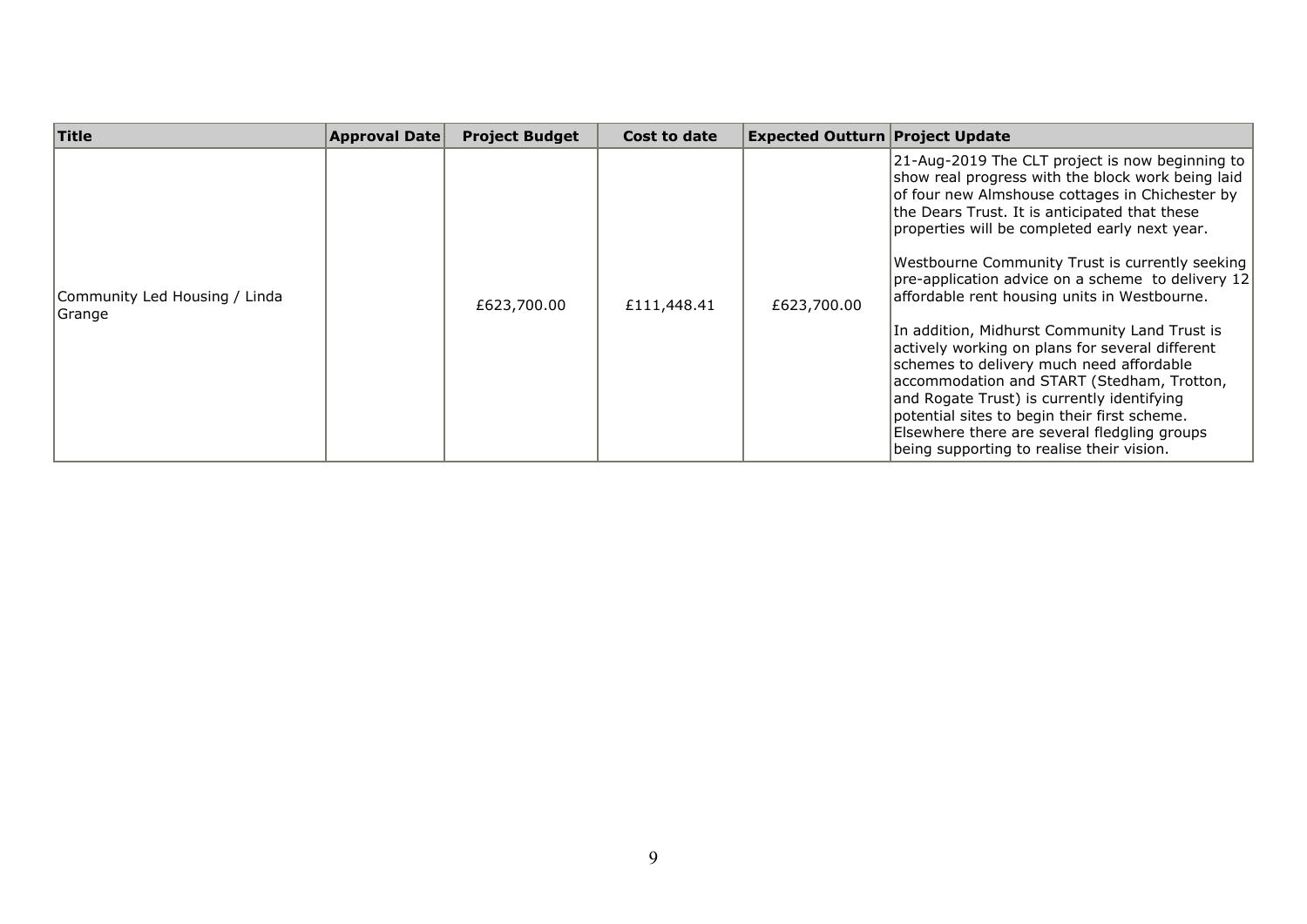| <b>Title</b>                             | <b>Approval Date</b> | <b>Project Budget</b> | Cost to date | <b>Expected Outturn Project Update</b> |                                                                                                                                                                                                                                                                                                                                                                                                                                                                                                                                                                                                                                                                                                                                                                                                            |
|------------------------------------------|----------------------|-----------------------|--------------|----------------------------------------|------------------------------------------------------------------------------------------------------------------------------------------------------------------------------------------------------------------------------------------------------------------------------------------------------------------------------------------------------------------------------------------------------------------------------------------------------------------------------------------------------------------------------------------------------------------------------------------------------------------------------------------------------------------------------------------------------------------------------------------------------------------------------------------------------------|
| Community Led Housing / Linda<br> Grange |                      | £623,700.00           | £111,448.41  | £623,700.00                            | 21-Aug-2019 The CLT project is now beginning to<br>show real progress with the block work being laid<br>of four new Almshouse cottages in Chichester by<br>the Dears Trust. It is anticipated that these<br>properties will be completed early next year.<br>Westbourne Community Trust is currently seeking<br>pre-application advice on a scheme to delivery 12<br>affordable rent housing units in Westbourne.<br>In addition, Midhurst Community Land Trust is<br>actively working on plans for several different<br>schemes to delivery much need affordable<br>accommodation and START (Stedham, Trotton,<br>and Rogate Trust) is currently identifying<br>potential sites to begin their first scheme.<br>Elsewhere there are several fledgling groups<br>being supporting to realise their vision. |